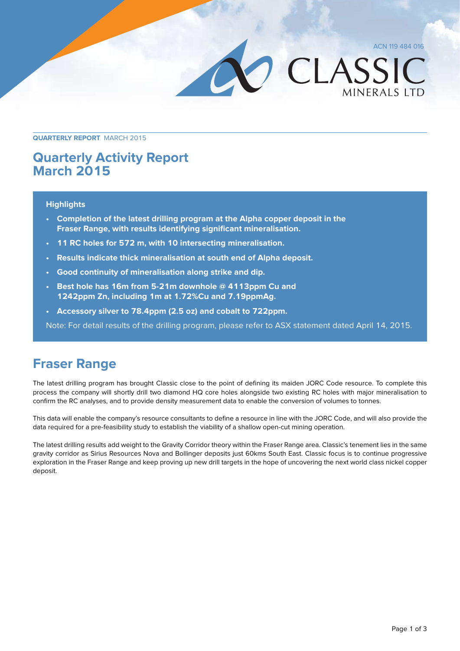ACN 119 484 016 CLASSIC **MINERALS LTD** 

**Quarterly Report** March 2015

### **Quarterly Activity Report March 2015**

### **Highlights**

- **• Completion of the latest drilling program at the Alpha copper deposit in the Fraser Range, with results identifying significant mineralisation.**
- **• 11 RC holes for 572 m, with 10 intersecting mineralisation.**
- **• Results indicate thick mineralisation at south end of Alpha deposit.**
- **• Good continuity of mineralisation along strike and dip.**
- **• Best hole has 16m from 5-21m downhole @ 4113ppm Cu and 1242ppm Zn, including 1m at 1.72%Cu and 7.19ppmAg.**
- **• Accessory silver to 78.4ppm (2.5 oz) and cobalt to 722ppm.**

Note: For detail results of the drilling program, please refer to ASX statement dated April 14, 2015.

## **Fraser Range**

The latest drilling program has brought Classic close to the point of defining its maiden JORC Code resource. To complete this process the company will shortly drill two diamond HQ core holes alongside two existing RC holes with major mineralisation to confirm the RC analyses, and to provide density measurement data to enable the conversion of volumes to tonnes.

This data will enable the company's resource consultants to define a resource in line with the JORC Code, and will also provide the data required for a pre-feasibility study to establish the viability of a shallow open-cut mining operation.

The latest drilling results add weight to the Gravity Corridor theory within the Fraser Range area. Classic's tenement lies in the same gravity corridor as Sirius Resources Nova and Bollinger deposits just 60kms South East. Classic focus is to continue progressive exploration in the Fraser Range and keep proving up new drill targets in the hope of uncovering the next world class nickel copper deposit.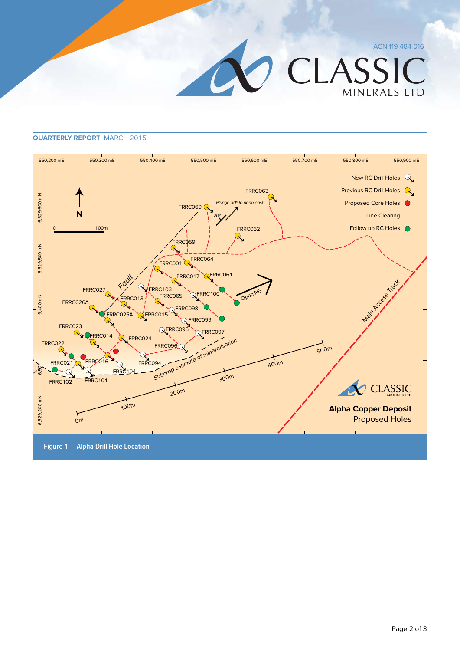ACN 119 484 016

CLASSIC MINERALS LTD

#### **Quarterly Report** March 2015